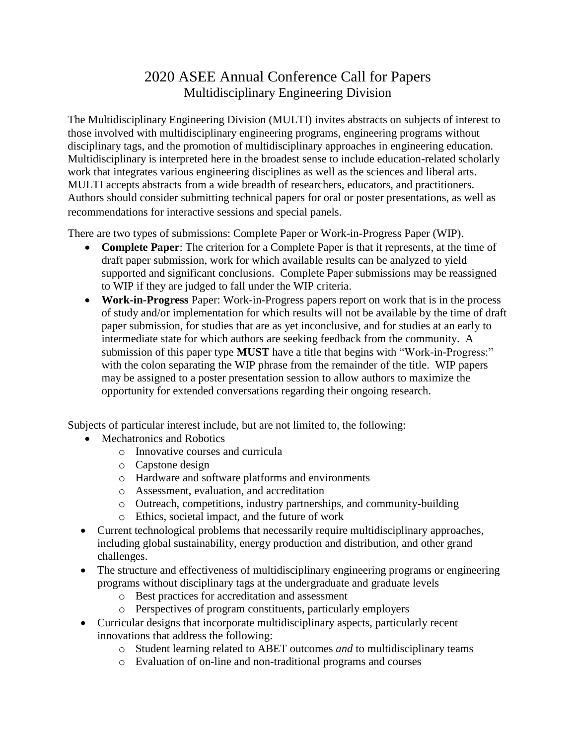## 2020 ASEE Annual Conference Call for Papers Multidisciplinary Engineering Division

The Multidisciplinary Engineering Division (MULTI) invites abstracts on subjects of interest to those involved with multidisciplinary engineering programs, engineering programs without disciplinary tags, and the promotion of multidisciplinary approaches in engineering education. Multidisciplinary is interpreted here in the broadest sense to include education-related scholarly work that integrates various engineering disciplines as well as the sciences and liberal arts. MULTI accepts abstracts from a wide breadth of researchers, educators, and practitioners. Authors should consider submitting technical papers for oral or poster presentations, as well as recommendations for interactive sessions and special panels.

There are two types of submissions: Complete Paper or Work-in-Progress Paper (WIP).

- **Complete Paper**: The criterion for a Complete Paper is that it represents, at the time of draft paper submission, work for which available results can be analyzed to yield supported and significant conclusions. Complete Paper submissions may be reassigned to WIP if they are judged to fall under the WIP criteria.
- **Work-in-Progress** Paper: Work-in-Progress papers report on work that is in the process of study and/or implementation for which results will not be available by the time of draft paper submission, for studies that are as yet inconclusive, and for studies at an early to intermediate state for which authors are seeking feedback from the community. A submission of this paper type **MUST** have a title that begins with "Work-in-Progress:" with the colon separating the WIP phrase from the remainder of the title. WIP papers may be assigned to a poster presentation session to allow authors to maximize the opportunity for extended conversations regarding their ongoing research.

Subjects of particular interest include, but are not limited to, the following:

- Mechatronics and Robotics
	- o Innovative courses and curricula
	- o Capstone design
	- o Hardware and software platforms and environments
	- o Assessment, evaluation, and accreditation
	- o Outreach, competitions, industry partnerships, and community-building
	- o Ethics, societal impact, and the future of work
- Current technological problems that necessarily require multidisciplinary approaches, including global sustainability, energy production and distribution, and other grand challenges.
- The structure and effectiveness of multidisciplinary engineering programs or engineering programs without disciplinary tags at the undergraduate and graduate levels
	- o Best practices for accreditation and assessment
	- o Perspectives of program constituents, particularly employers
- Curricular designs that incorporate multidisciplinary aspects, particularly recent innovations that address the following:
	- o Student learning related to ABET outcomes *and* to multidisciplinary teams
	- o Evaluation of on-line and non-traditional programs and courses